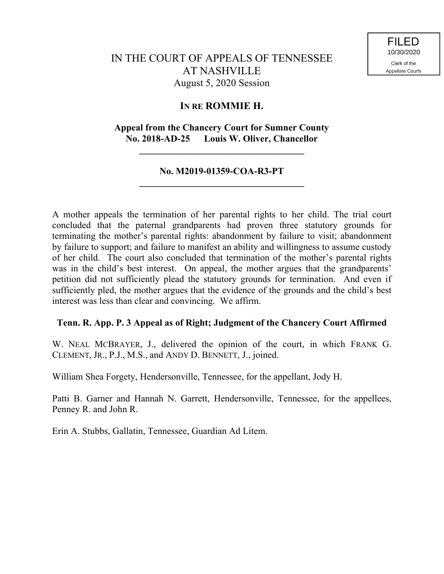# IN THE COURT OF APPEALS OF TENNESSEE AT NASHVILLE August 5, 2020 Session

# **IN RE ROMMIE H.**

# **Appeal from the Chancery Court for Sumner County No. 2018-AD-25 Louis W. Oliver, Chancellor**

**\_\_\_\_\_\_\_\_\_\_\_\_\_\_\_\_\_\_\_\_\_\_\_\_\_\_\_\_\_\_\_\_\_\_\_**

## **No. M2019-01359-COA-R3-PT \_\_\_\_\_\_\_\_\_\_\_\_\_\_\_\_\_\_\_\_\_\_\_\_\_\_\_\_\_\_\_\_\_\_\_**

A mother appeals the termination of her parental rights to her child. The trial court concluded that the paternal grandparents had proven three statutory grounds for terminating the mother's parental rights: abandonment by failure to visit; abandonment by failure to support; and failure to manifest an ability and willingness to assume custody of her child. The court also concluded that termination of the mother's parental rights was in the child's best interest. On appeal, the mother argues that the grandparents' petition did not sufficiently plead the statutory grounds for termination. And even if sufficiently pled, the mother argues that the evidence of the grounds and the child's best interest was less than clear and convincing. We affirm.

### **Tenn. R. App. P. 3 Appeal as of Right; Judgment of the Chancery Court Affirmed**

W. NEAL MCBRAYER, J., delivered the opinion of the court, in which FRANK G. CLEMENT, JR., P.J., M.S., and ANDY D. BENNETT, J., joined.

William Shea Forgety, Hendersonville, Tennessee, for the appellant, Jody H.

Patti B. Garner and Hannah N. Garrett, Hendersonville, Tennessee, for the appellees, Penney R. and John R.

Erin A. Stubbs, Gallatin, Tennessee, Guardian Ad Litem.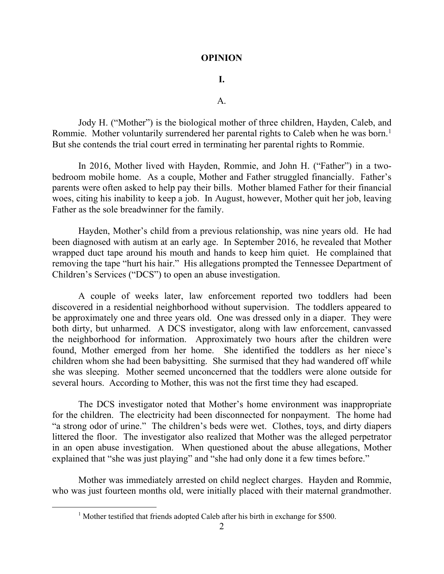#### **OPINION**

### **I.**

 $A<sub>1</sub>$ 

Jody H. ("Mother") is the biological mother of three children, Hayden, Caleb, and Rommie. Mother voluntarily surrendered her parental rights to Caleb when he was born.<sup>1</sup> But she contends the trial court erred in terminating her parental rights to Rommie.

In 2016, Mother lived with Hayden, Rommie, and John H. ("Father") in a twobedroom mobile home. As a couple, Mother and Father struggled financially. Father's parents were often asked to help pay their bills. Mother blamed Father for their financial woes, citing his inability to keep a job. In August, however, Mother quit her job, leaving Father as the sole breadwinner for the family.

Hayden, Mother's child from a previous relationship, was nine years old. He had been diagnosed with autism at an early age. In September 2016, he revealed that Mother wrapped duct tape around his mouth and hands to keep him quiet. He complained that removing the tape "hurt his hair." His allegations prompted the Tennessee Department of Children's Services ("DCS") to open an abuse investigation.

A couple of weeks later, law enforcement reported two toddlers had been discovered in a residential neighborhood without supervision. The toddlers appeared to be approximately one and three years old. One was dressed only in a diaper. They were both dirty, but unharmed. A DCS investigator, along with law enforcement, canvassed the neighborhood for information. Approximately two hours after the children were found, Mother emerged from her home. She identified the toddlers as her niece's children whom she had been babysitting. She surmised that they had wandered off while she was sleeping. Mother seemed unconcerned that the toddlers were alone outside for several hours. According to Mother, this was not the first time they had escaped.

The DCS investigator noted that Mother's home environment was inappropriate for the children. The electricity had been disconnected for nonpayment. The home had "a strong odor of urine." The children's beds were wet. Clothes, toys, and dirty diapers littered the floor. The investigator also realized that Mother was the alleged perpetrator in an open abuse investigation. When questioned about the abuse allegations, Mother explained that "she was just playing" and "she had only done it a few times before."

Mother was immediately arrested on child neglect charges. Hayden and Rommie, who was just fourteen months old, were initially placed with their maternal grandmother.

 $\overline{a}$ 

<sup>&</sup>lt;sup>1</sup> Mother testified that friends adopted Caleb after his birth in exchange for \$500.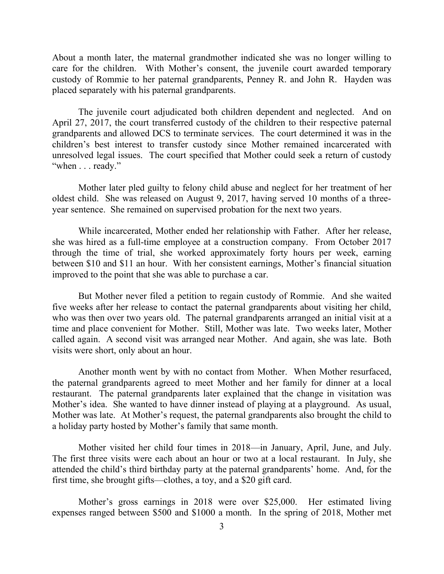About a month later, the maternal grandmother indicated she was no longer willing to care for the children. With Mother's consent, the juvenile court awarded temporary custody of Rommie to her paternal grandparents, Penney R. and John R. Hayden was placed separately with his paternal grandparents.

The juvenile court adjudicated both children dependent and neglected. And on April 27, 2017, the court transferred custody of the children to their respective paternal grandparents and allowed DCS to terminate services. The court determined it was in the children's best interest to transfer custody since Mother remained incarcerated with unresolved legal issues. The court specified that Mother could seek a return of custody "when . . . ready."

Mother later pled guilty to felony child abuse and neglect for her treatment of her oldest child. She was released on August 9, 2017, having served 10 months of a threeyear sentence. She remained on supervised probation for the next two years.

While incarcerated, Mother ended her relationship with Father. After her release, she was hired as a full-time employee at a construction company. From October 2017 through the time of trial, she worked approximately forty hours per week, earning between \$10 and \$11 an hour. With her consistent earnings, Mother's financial situation improved to the point that she was able to purchase a car.

But Mother never filed a petition to regain custody of Rommie. And she waited five weeks after her release to contact the paternal grandparents about visiting her child, who was then over two years old. The paternal grandparents arranged an initial visit at a time and place convenient for Mother. Still, Mother was late. Two weeks later, Mother called again. A second visit was arranged near Mother. And again, she was late. Both visits were short, only about an hour.

Another month went by with no contact from Mother. When Mother resurfaced, the paternal grandparents agreed to meet Mother and her family for dinner at a local restaurant. The paternal grandparents later explained that the change in visitation was Mother's idea. She wanted to have dinner instead of playing at a playground. As usual, Mother was late. At Mother's request, the paternal grandparents also brought the child to a holiday party hosted by Mother's family that same month.

Mother visited her child four times in 2018—in January, April, June, and July. The first three visits were each about an hour or two at a local restaurant. In July, she attended the child's third birthday party at the paternal grandparents' home. And, for the first time, she brought gifts—clothes, a toy, and a \$20 gift card.

Mother's gross earnings in 2018 were over \$25,000. Her estimated living expenses ranged between \$500 and \$1000 a month. In the spring of 2018, Mother met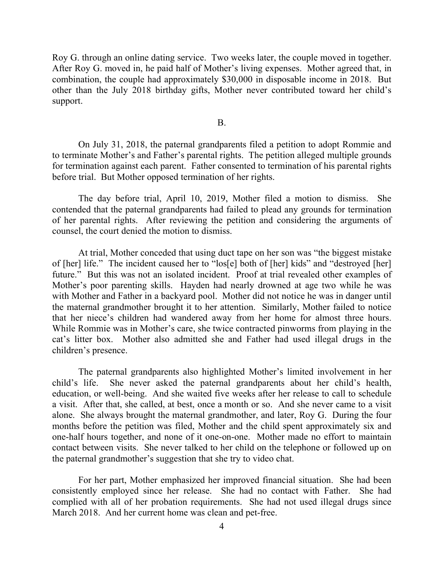Roy G. through an online dating service. Two weeks later, the couple moved in together. After Roy G. moved in, he paid half of Mother's living expenses. Mother agreed that, in combination, the couple had approximately \$30,000 in disposable income in 2018. But other than the July 2018 birthday gifts, Mother never contributed toward her child's support.

B.

On July 31, 2018, the paternal grandparents filed a petition to adopt Rommie and to terminate Mother's and Father's parental rights. The petition alleged multiple grounds for termination against each parent. Father consented to termination of his parental rights before trial. But Mother opposed termination of her rights.

The day before trial, April 10, 2019, Mother filed a motion to dismiss. She contended that the paternal grandparents had failed to plead any grounds for termination of her parental rights. After reviewing the petition and considering the arguments of counsel, the court denied the motion to dismiss.

At trial, Mother conceded that using duct tape on her son was "the biggest mistake of [her] life." The incident caused her to "los[e] both of [her] kids" and "destroyed [her] future." But this was not an isolated incident. Proof at trial revealed other examples of Mother's poor parenting skills. Hayden had nearly drowned at age two while he was with Mother and Father in a backyard pool. Mother did not notice he was in danger until the maternal grandmother brought it to her attention. Similarly, Mother failed to notice that her niece's children had wandered away from her home for almost three hours. While Rommie was in Mother's care, she twice contracted pinworms from playing in the cat's litter box. Mother also admitted she and Father had used illegal drugs in the children's presence.

The paternal grandparents also highlighted Mother's limited involvement in her child's life. She never asked the paternal grandparents about her child's health, education, or well-being. And she waited five weeks after her release to call to schedule a visit. After that, she called, at best, once a month or so. And she never came to a visit alone. She always brought the maternal grandmother, and later, Roy G. During the four months before the petition was filed, Mother and the child spent approximately six and one-half hours together, and none of it one-on-one. Mother made no effort to maintain contact between visits. She never talked to her child on the telephone or followed up on the paternal grandmother's suggestion that she try to video chat.

For her part, Mother emphasized her improved financial situation. She had been consistently employed since her release. She had no contact with Father. She had complied with all of her probation requirements. She had not used illegal drugs since March 2018. And her current home was clean and pet-free.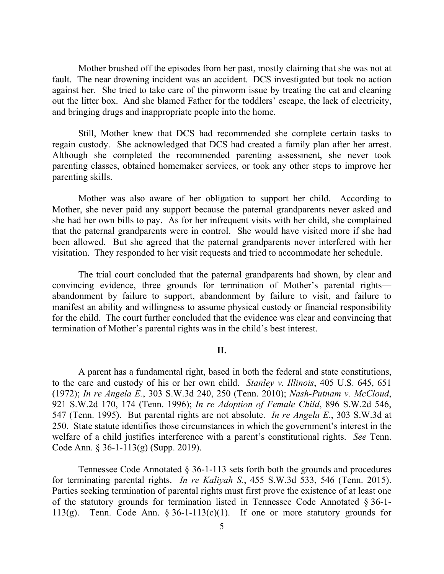Mother brushed off the episodes from her past, mostly claiming that she was not at fault. The near drowning incident was an accident. DCS investigated but took no action against her. She tried to take care of the pinworm issue by treating the cat and cleaning out the litter box. And she blamed Father for the toddlers' escape, the lack of electricity, and bringing drugs and inappropriate people into the home.

Still, Mother knew that DCS had recommended she complete certain tasks to regain custody. She acknowledged that DCS had created a family plan after her arrest. Although she completed the recommended parenting assessment, she never took parenting classes, obtained homemaker services, or took any other steps to improve her parenting skills.

Mother was also aware of her obligation to support her child. According to Mother, she never paid any support because the paternal grandparents never asked and she had her own bills to pay. As for her infrequent visits with her child, she complained that the paternal grandparents were in control. She would have visited more if she had been allowed. But she agreed that the paternal grandparents never interfered with her visitation. They responded to her visit requests and tried to accommodate her schedule.

The trial court concluded that the paternal grandparents had shown, by clear and convincing evidence, three grounds for termination of Mother's parental rights abandonment by failure to support, abandonment by failure to visit, and failure to manifest an ability and willingness to assume physical custody or financial responsibility for the child. The court further concluded that the evidence was clear and convincing that termination of Mother's parental rights was in the child's best interest.

#### **II.**

A parent has a fundamental right, based in both the federal and state constitutions, to the care and custody of his or her own child. *Stanley v. Illinois*, 405 U.S. 645, 651 (1972); *In re Angela E.*, 303 S.W.3d 240, 250 (Tenn. 2010); *Nash-Putnam v. McCloud*, 921 S.W.2d 170, 174 (Tenn. 1996); *In re Adoption of Female Child*, 896 S.W.2d 546, 547 (Tenn. 1995). But parental rights are not absolute. *In re Angela E*., 303 S.W.3d at 250. State statute identifies those circumstances in which the government's interest in the welfare of a child justifies interference with a parent's constitutional rights. *See* Tenn. Code Ann. § 36-1-113(g) (Supp. 2019).

Tennessee Code Annotated § 36-1-113 sets forth both the grounds and procedures for terminating parental rights. *In re Kaliyah S.*, 455 S.W.3d 533, 546 (Tenn. 2015). Parties seeking termination of parental rights must first prove the existence of at least one of the statutory grounds for termination listed in Tennessee Code Annotated § 36-1- 113(g). Tenn. Code Ann.  $\S 36$ -1-113(c)(1). If one or more statutory grounds for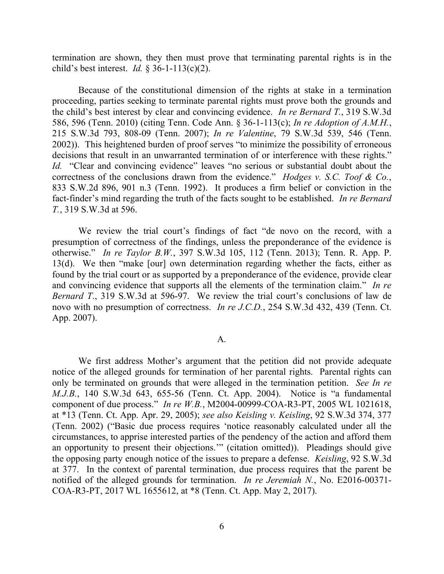termination are shown, they then must prove that terminating parental rights is in the child's best interest. *Id.* § 36-1-113(c)(2).

Because of the constitutional dimension of the rights at stake in a termination proceeding, parties seeking to terminate parental rights must prove both the grounds and the child's best interest by clear and convincing evidence. *In re Bernard T.*, 319 S.W.3d 586, 596 (Tenn. 2010) (citing Tenn. Code Ann. § 36-1-113(c); *In re Adoption of A.M.H.*, 215 S.W.3d 793, 808-09 (Tenn. 2007); *In re Valentine*, 79 S.W.3d 539, 546 (Tenn. 2002)). This heightened burden of proof serves "to minimize the possibility of erroneous decisions that result in an unwarranted termination of or interference with these rights." *Id.* "Clear and convincing evidence" leaves "no serious or substantial doubt about the correctness of the conclusions drawn from the evidence." *Hodges v. S.C. Toof & Co.*, 833 S.W.2d 896, 901 n.3 (Tenn. 1992). It produces a firm belief or conviction in the fact-finder's mind regarding the truth of the facts sought to be established. *In re Bernard T.*, 319 S.W.3d at 596.

We review the trial court's findings of fact "de novo on the record, with a presumption of correctness of the findings, unless the preponderance of the evidence is otherwise." *In re Taylor B.W.*, 397 S.W.3d 105, 112 (Tenn. 2013); Tenn. R. App. P. 13(d). We then "make [our] own determination regarding whether the facts, either as found by the trial court or as supported by a preponderance of the evidence, provide clear and convincing evidence that supports all the elements of the termination claim." *In re Bernard T*., 319 S.W.3d at 596-97. We review the trial court's conclusions of law de novo with no presumption of correctness. *In re J.C.D.*, 254 S.W.3d 432, 439 (Tenn. Ct. App. 2007).

#### A.

We first address Mother's argument that the petition did not provide adequate notice of the alleged grounds for termination of her parental rights. Parental rights can only be terminated on grounds that were alleged in the termination petition. *See In re M.J.B.*, 140 S.W.3d 643, 655-56 (Tenn. Ct. App. 2004). Notice is "a fundamental component of due process." *In re W.B.*, M2004-00999-COA-R3-PT, 2005 WL 1021618, at \*13 (Tenn. Ct. App. Apr. 29, 2005); *see also Keisling v. Keisling*, 92 S.W.3d 374, 377 (Tenn. 2002) ("Basic due process requires 'notice reasonably calculated under all the circumstances, to apprise interested parties of the pendency of the action and afford them an opportunity to present their objections.'" (citation omitted)). Pleadings should give the opposing party enough notice of the issues to prepare a defense. *Keisling*, 92 S.W.3d at 377. In the context of parental termination, due process requires that the parent be notified of the alleged grounds for termination. *In re Jeremiah N.*, No. E2016-00371- COA-R3-PT, 2017 WL 1655612, at \*8 (Tenn. Ct. App. May 2, 2017).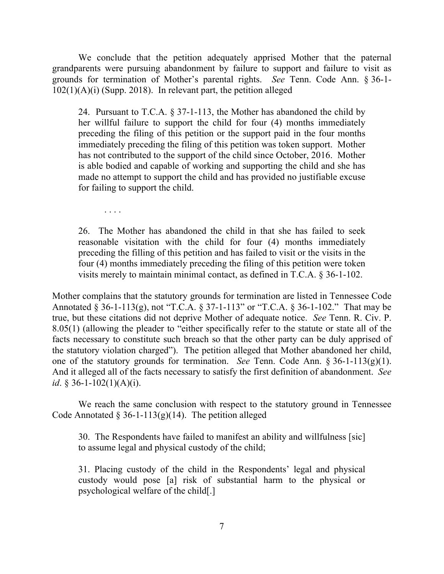We conclude that the petition adequately apprised Mother that the paternal grandparents were pursuing abandonment by failure to support and failure to visit as grounds for termination of Mother's parental rights. *See* Tenn. Code Ann. § 36-1- 102(1)(A)(i) (Supp. 2018). In relevant part, the petition alleged

24. Pursuant to T.C.A. § 37-1-113, the Mother has abandoned the child by her willful failure to support the child for four (4) months immediately preceding the filing of this petition or the support paid in the four months immediately preceding the filing of this petition was token support. Mother has not contributed to the support of the child since October, 2016. Mother is able bodied and capable of working and supporting the child and she has made no attempt to support the child and has provided no justifiable excuse for failing to support the child.

. . . .

26. The Mother has abandoned the child in that she has failed to seek reasonable visitation with the child for four (4) months immediately preceding the filling of this petition and has failed to visit or the visits in the four (4) months immediately preceding the filing of this petition were token visits merely to maintain minimal contact, as defined in T.C.A. § 36-1-102.

Mother complains that the statutory grounds for termination are listed in Tennessee Code Annotated § 36-1-113(g), not "T.C.A. § 37-1-113" or "T.C.A. § 36-1-102." That may be true, but these citations did not deprive Mother of adequate notice. *See* Tenn. R. Civ. P. 8.05(1) (allowing the pleader to "either specifically refer to the statute or state all of the facts necessary to constitute such breach so that the other party can be duly apprised of the statutory violation charged"). The petition alleged that Mother abandoned her child, one of the statutory grounds for termination. *See* Tenn. Code Ann. § 36-1-113(g)(1). And it alleged all of the facts necessary to satisfy the first definition of abandonment. *See id*. § 36-1-102(1)(A)(*i*).

We reach the same conclusion with respect to the statutory ground in Tennessee Code Annotated  $\S 36-1-113(g)(14)$ . The petition alleged

30. The Respondents have failed to manifest an ability and willfulness [sic] to assume legal and physical custody of the child;

31. Placing custody of the child in the Respondents' legal and physical custody would pose [a] risk of substantial harm to the physical or psychological welfare of the child[.]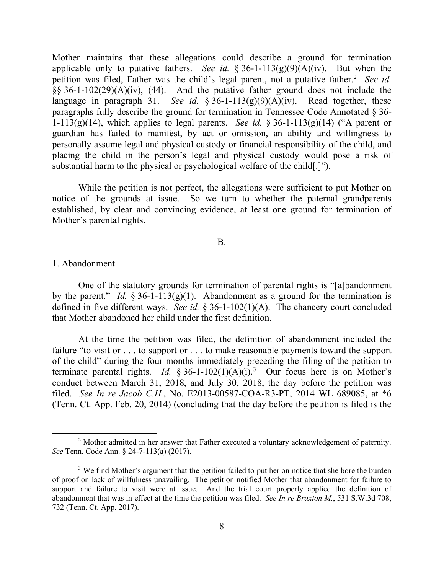Mother maintains that these allegations could describe a ground for termination applicable only to putative fathers. *See id.* § 36-1-113(g)(9)(A)(iv). But when the petition was filed, Father was the child's legal parent, not a putative father.<sup>2</sup> See id. §§ 36-1-102(29)(A)(iv), (44). And the putative father ground does not include the language in paragraph 31. *See id.* §  $\overline{36}$ -1-113(g)(9)(A)(iv). Read together, these paragraphs fully describe the ground for termination in Tennessee Code Annotated § 36- 1-113(g)(14), which applies to legal parents. *See id.* § 36-1-113(g)(14) ("A parent or guardian has failed to manifest, by act or omission, an ability and willingness to personally assume legal and physical custody or financial responsibility of the child, and placing the child in the person's legal and physical custody would pose a risk of substantial harm to the physical or psychological welfare of the child[.]").

While the petition is not perfect, the allegations were sufficient to put Mother on notice of the grounds at issue. So we turn to whether the paternal grandparents established, by clear and convincing evidence, at least one ground for termination of Mother's parental rights.

#### B.

#### 1. Abandonment

 $\overline{a}$ 

One of the statutory grounds for termination of parental rights is "[a]bandonment by the parent." *Id.*  $\frac{2}{36}$ -1-113(g)(1). Abandonment as a ground for the termination is defined in five different ways. *See id.* § 36-1-102(1)(A). The chancery court concluded that Mother abandoned her child under the first definition.

At the time the petition was filed, the definition of abandonment included the failure "to visit or . . . to support or . . . to make reasonable payments toward the support of the child" during the four months immediately preceding the filing of the petition to terminate parental rights. *Id.* § 36-1-102(1)(A)(i).<sup>3</sup> Our focus here is on Mother's conduct between March 31, 2018, and July 30, 2018, the day before the petition was filed. *See In re Jacob C.H.*, No. E2013-00587-COA-R3-PT, 2014 WL 689085, at \*6 (Tenn. Ct. App. Feb. 20, 2014) (concluding that the day before the petition is filed is the

<sup>&</sup>lt;sup>2</sup> Mother admitted in her answer that Father executed a voluntary acknowledgement of paternity. *See* Tenn. Code Ann. § 24-7-113(a) (2017).

<sup>&</sup>lt;sup>3</sup> We find Mother's argument that the petition failed to put her on notice that she bore the burden of proof on lack of willfulness unavailing. The petition notified Mother that abandonment for failure to support and failure to visit were at issue. And the trial court properly applied the definition of abandonment that was in effect at the time the petition was filed. *See In re Braxton M.*, 531 S.W.3d 708, 732 (Tenn. Ct. App. 2017).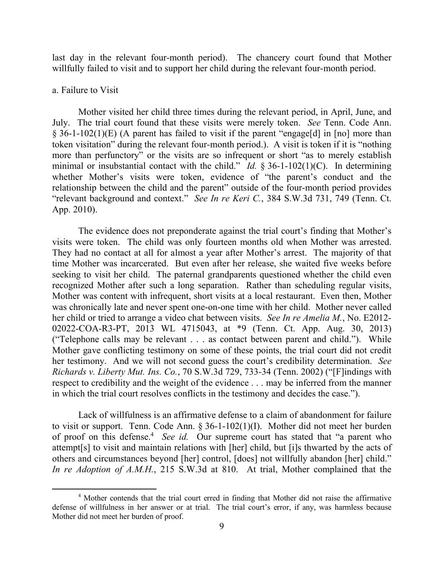last day in the relevant four-month period). The chancery court found that Mother willfully failed to visit and to support her child during the relevant four-month period.

#### a. Failure to Visit

Mother visited her child three times during the relevant period, in April, June, and July. The trial court found that these visits were merely token. *See* Tenn. Code Ann. § 36-1-102(1)(E) (A parent has failed to visit if the parent "engage[d] in [no] more than token visitation" during the relevant four-month period.). A visit is token if it is "nothing more than perfunctory" or the visits are so infrequent or short "as to merely establish minimal or insubstantial contact with the child." *Id.* § 36-1-102(1)(C). In determining whether Mother's visits were token, evidence of "the parent's conduct and the relationship between the child and the parent" outside of the four-month period provides "relevant background and context." *See In re Keri C.*, 384 S.W.3d 731, 749 (Tenn. Ct. App. 2010).

The evidence does not preponderate against the trial court's finding that Mother's visits were token. The child was only fourteen months old when Mother was arrested. They had no contact at all for almost a year after Mother's arrest. The majority of that time Mother was incarcerated. But even after her release, she waited five weeks before seeking to visit her child. The paternal grandparents questioned whether the child even recognized Mother after such a long separation. Rather than scheduling regular visits, Mother was content with infrequent, short visits at a local restaurant. Even then, Mother was chronically late and never spent one-on-one time with her child. Mother never called her child or tried to arrange a video chat between visits. *See In re Amelia M.*, No. E2012- 02022-COA-R3-PT, 2013 WL 4715043, at \*9 (Tenn. Ct. App. Aug. 30, 2013) ("Telephone calls may be relevant . . . as contact between parent and child."). While Mother gave conflicting testimony on some of these points, the trial court did not credit her testimony. And we will not second guess the court's credibility determination. *See Richards v. Liberty Mut. Ins. Co.*, 70 S.W.3d 729, 733-34 (Tenn. 2002) ("[F]indings with respect to credibility and the weight of the evidence . . . may be inferred from the manner in which the trial court resolves conflicts in the testimony and decides the case.").

Lack of willfulness is an affirmative defense to a claim of abandonment for failure to visit or support. Tenn. Code Ann. § 36-1-102(1)(I). Mother did not meet her burden of proof on this defense.<sup>4</sup> See id. Our supreme court has stated that "a parent who attempt[s] to visit and maintain relations with [her] child, but [i]s thwarted by the acts of others and circumstances beyond [her] control, [does] not willfully abandon [her] child." *In re Adoption of A.M.H.*, 215 S.W.3d at 810. At trial, Mother complained that the

<sup>&</sup>lt;sup>4</sup> Mother contends that the trial court erred in finding that Mother did not raise the affirmative defense of willfulness in her answer or at trial. The trial court's error, if any, was harmless because Mother did not meet her burden of proof.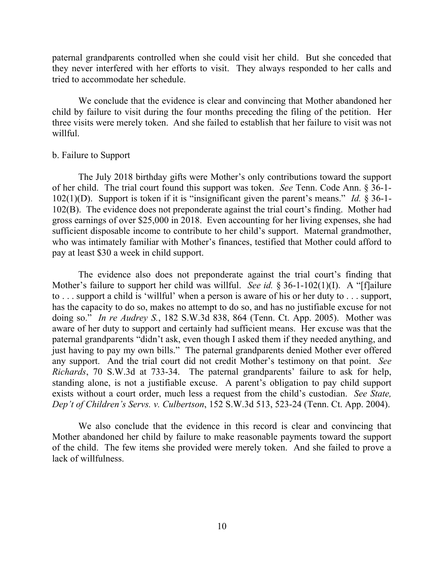paternal grandparents controlled when she could visit her child. But she conceded that they never interfered with her efforts to visit. They always responded to her calls and tried to accommodate her schedule.

We conclude that the evidence is clear and convincing that Mother abandoned her child by failure to visit during the four months preceding the filing of the petition. Her three visits were merely token. And she failed to establish that her failure to visit was not willful.

#### b. Failure to Support

The July 2018 birthday gifts were Mother's only contributions toward the support of her child. The trial court found this support was token. *See* Tenn. Code Ann. § 36-1- 102(1)(D). Support is token if it is "insignificant given the parent's means." *Id.* § 36-1- 102(B). The evidence does not preponderate against the trial court's finding. Mother had gross earnings of over \$25,000 in 2018. Even accounting for her living expenses, she had sufficient disposable income to contribute to her child's support. Maternal grandmother, who was intimately familiar with Mother's finances, testified that Mother could afford to pay at least \$30 a week in child support.

The evidence also does not preponderate against the trial court's finding that Mother's failure to support her child was willful. *See id.* § 36-1-102(1)(I). A "[f]ailure to . . . support a child is 'willful' when a person is aware of his or her duty to . . . support, has the capacity to do so, makes no attempt to do so, and has no justifiable excuse for not doing so." *In re Audrey S.*, 182 S.W.3d 838, 864 (Tenn. Ct. App. 2005). Mother was aware of her duty to support and certainly had sufficient means. Her excuse was that the paternal grandparents "didn't ask, even though I asked them if they needed anything, and just having to pay my own bills." The paternal grandparents denied Mother ever offered any support. And the trial court did not credit Mother's testimony on that point. *See Richards*, 70 S.W.3d at 733-34. The paternal grandparents' failure to ask for help, standing alone, is not a justifiable excuse. A parent's obligation to pay child support exists without a court order, much less a request from the child's custodian. *See State, Dep't of Children's Servs. v. Culbertson*, 152 S.W.3d 513, 523-24 (Tenn. Ct. App. 2004).

We also conclude that the evidence in this record is clear and convincing that Mother abandoned her child by failure to make reasonable payments toward the support of the child. The few items she provided were merely token. And she failed to prove a lack of willfulness.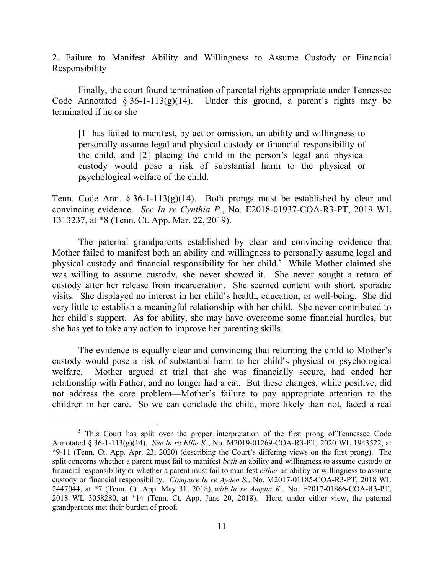2. Failure to Manifest Ability and Willingness to Assume Custody or Financial Responsibility

Finally, the court found termination of parental rights appropriate under Tennessee Code Annotated  $\S 36$ -1-113(g)(14). Under this ground, a parent's rights may be terminated if he or she

[1] has failed to manifest, by act or omission, an ability and willingness to personally assume legal and physical custody or financial responsibility of the child, and [2] placing the child in the person's legal and physical custody would pose a risk of substantial harm to the physical or psychological welfare of the child.

Tenn. Code Ann.  $\S 36-1-113(g)(14)$ . Both prongs must be established by clear and convincing evidence. *See In re Cynthia P.*, No. E2018-01937-COA-R3-PT, 2019 WL 1313237, at \*8 (Tenn. Ct. App. Mar. 22, 2019).

The paternal grandparents established by clear and convincing evidence that Mother failed to manifest both an ability and willingness to personally assume legal and physical custody and financial responsibility for her child.<sup>5</sup> While Mother claimed she was willing to assume custody, she never showed it. She never sought a return of custody after her release from incarceration. She seemed content with short, sporadic visits. She displayed no interest in her child's health, education, or well-being. She did very little to establish a meaningful relationship with her child. She never contributed to her child's support. As for ability, she may have overcome some financial hurdles, but she has yet to take any action to improve her parenting skills.

The evidence is equally clear and convincing that returning the child to Mother's custody would pose a risk of substantial harm to her child's physical or psychological welfare. Mother argued at trial that she was financially secure, had ended her relationship with Father, and no longer had a cat. But these changes, while positive, did not address the core problem—Mother's failure to pay appropriate attention to the children in her care. So we can conclude the child, more likely than not, faced a real

 $\overline{a}$ 

<sup>&</sup>lt;sup>5</sup> This Court has split over the proper interpretation of the first prong of Tennessee Code Annotated § 36-1-113(g)(14). *See In re Ellie K.*, No. M2019-01269-COA-R3-PT, 2020 WL 1943522, at \*9-11 (Tenn. Ct. App. Apr. 23, 2020) (describing the Court's differing views on the first prong). The split concerns whether a parent must fail to manifest *both* an ability and willingness to assume custody or financial responsibility or whether a parent must fail to manifest *either* an ability or willingness to assume custody or financial responsibility. *Compare In re Ayden S.*, No. M2017-01185-COA-R3-PT, 2018 WL 2447044, at \*7 (Tenn. Ct. App. May 31, 2018), *with In re Amynn K.*, No. E2017-01866-COA-R3-PT, 2018 WL 3058280, at \*14 (Tenn. Ct. App. June 20, 2018). Here, under either view, the paternal grandparents met their burden of proof.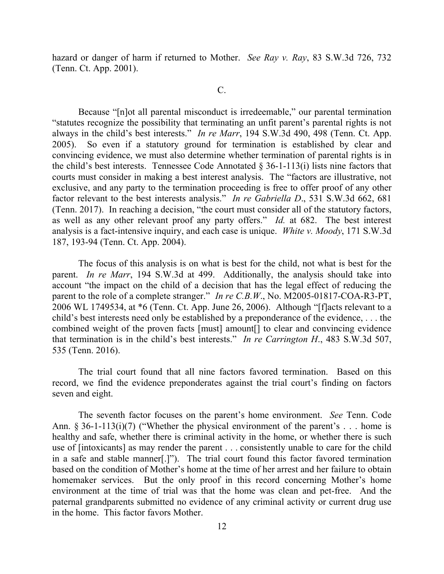hazard or danger of harm if returned to Mother. *See Ray v. Ray*, 83 S.W.3d 726, 732 (Tenn. Ct. App. 2001).

C.

Because "[n]ot all parental misconduct is irredeemable," our parental termination "statutes recognize the possibility that terminating an unfit parent's parental rights is not always in the child's best interests." *In re Marr*, 194 S.W.3d 490, 498 (Tenn. Ct. App. 2005). So even if a statutory ground for termination is established by clear and convincing evidence, we must also determine whether termination of parental rights is in the child's best interests. Tennessee Code Annotated  $\S$  36-1-113(i) lists nine factors that courts must consider in making a best interest analysis. The "factors are illustrative, not exclusive, and any party to the termination proceeding is free to offer proof of any other factor relevant to the best interests analysis." *In re Gabriella D*., 531 S.W.3d 662, 681 (Tenn. 2017). In reaching a decision, "the court must consider all of the statutory factors, as well as any other relevant proof any party offers." *Id.* at 682. The best interest analysis is a fact-intensive inquiry, and each case is unique. *White v. Moody*, 171 S.W.3d 187, 193-94 (Tenn. Ct. App. 2004).

The focus of this analysis is on what is best for the child, not what is best for the parent. *In re Marr*, 194 S.W.3d at 499. Additionally, the analysis should take into account "the impact on the child of a decision that has the legal effect of reducing the parent to the role of a complete stranger." *In re C.B.W*., No. M2005-01817-COA-R3-PT, 2006 WL 1749534, at \*6 (Tenn. Ct. App. June 26, 2006). Although "[f]acts relevant to a child's best interests need only be established by a preponderance of the evidence, . . . the combined weight of the proven facts [must] amount[] to clear and convincing evidence that termination is in the child's best interests." *In re Carrington H*., 483 S.W.3d 507, 535 (Tenn. 2016).

The trial court found that all nine factors favored termination. Based on this record, we find the evidence preponderates against the trial court's finding on factors seven and eight.

The seventh factor focuses on the parent's home environment. *See* Tenn. Code Ann. § 36-1-113(i)(7) ("Whether the physical environment of the parent's . . . home is healthy and safe, whether there is criminal activity in the home, or whether there is such use of [intoxicants] as may render the parent . . . consistently unable to care for the child in a safe and stable manner[.]"). The trial court found this factor favored termination based on the condition of Mother's home at the time of her arrest and her failure to obtain homemaker services. But the only proof in this record concerning Mother's home environment at the time of trial was that the home was clean and pet-free. And the paternal grandparents submitted no evidence of any criminal activity or current drug use in the home. This factor favors Mother.